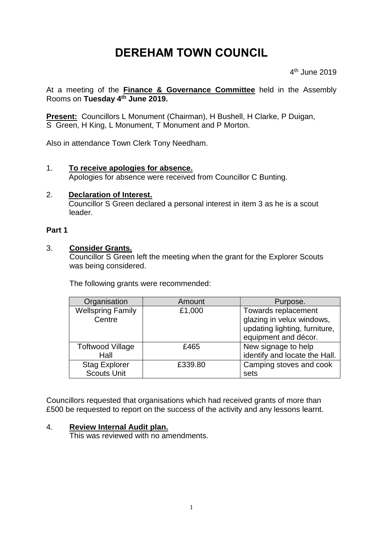# **DEREHAM TOWN COUNCIL**

4 th June 2019

At a meeting of the **Finance & Governance Committee** held in the Assembly Rooms on **Tuesday 4 th June 2019.**

**Present:** Councillors L Monument (Chairman), H Bushell, H Clarke, P Duigan, S Green, H King, L Monument, T Monument and P Morton.

Also in attendance Town Clerk Tony Needham.

#### 1. **To receive apologies for absence.**

Apologies for absence were received from Councillor C Bunting.

#### 2. **Declaration of Interest.**

Councillor S Green declared a personal interest in item 3 as he is a scout leader.

#### **Part 1**

#### 3. **Consider Grants.**

Councillor S Green left the meeting when the grant for the Explorer Scouts was being considered.

The following grants were recommended:

| Organisation                               | Amount  | Purpose.                                                                                                  |
|--------------------------------------------|---------|-----------------------------------------------------------------------------------------------------------|
| <b>Wellspring Family</b><br>Centre         | £1,000  | Towards replacement<br>glazing in velux windows,<br>updating lighting, furniture,<br>equipment and décor. |
| <b>Toftwood Village</b><br>Hall            | £465    | New signage to help<br>identify and locate the Hall.                                                      |
| <b>Stag Explorer</b><br><b>Scouts Unit</b> | £339.80 | Camping stoves and cook<br>sets                                                                           |

Councillors requested that organisations which had received grants of more than £500 be requested to report on the success of the activity and any lessons learnt.

#### 4. **Review Internal Audit plan.**

This was reviewed with no amendments.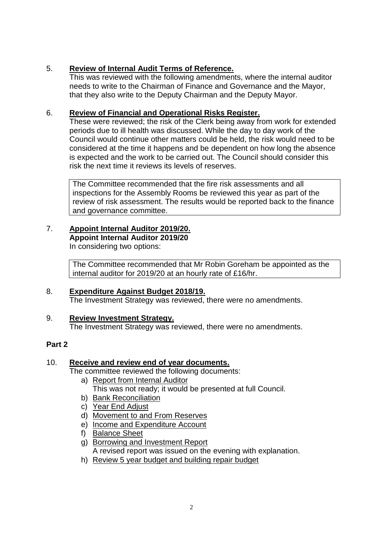#### 5. **Review of Internal Audit Terms of Reference.**

This was reviewed with the following amendments, where the internal auditor needs to write to the Chairman of Finance and Governance and the Mayor, that they also write to the Deputy Chairman and the Deputy Mayor.

#### 6. **Review of Financial and Operational Risks Register.**

These were reviewed; the risk of the Clerk being away from work for extended periods due to ill health was discussed. While the day to day work of the Council would continue other matters could be held, the risk would need to be considered at the time it happens and be dependent on how long the absence is expected and the work to be carried out. The Council should consider this risk the next time it reviews its levels of reserves.

The Committee recommended that the fire risk assessments and all inspections for the Assembly Rooms be reviewed this year as part of the review of risk assessment. The results would be reported back to the finance and governance committee.

# 7. **Appoint Internal Auditor 2019/20. Appoint Internal Auditor 2019/20**

In considering two options:

The Committee recommended that Mr Robin Goreham be appointed as the internal auditor for 2019/20 at an hourly rate of £16/hr.

#### 8. **Expenditure Against Budget 2018/19.** The Investment Strategy was reviewed, there were no amendments.

#### 9. **Review Investment Strategy.**

The Investment Strategy was reviewed, there were no amendments.

## **Part 2**

## 10. **Receive and review end of year documents.**

The committee reviewed the following documents:

- a) Report from Internal Auditor
	- This was not ready; it would be presented at full Council.
- b) Bank Reconciliation
- c) Year End Adjust
- d) Movement to and From Reserves
- e) Income and Expenditure Account
- f) Balance Sheet
- g) Borrowing and Investment Report A revised report was issued on the evening with explanation.
- h) Review 5 year budget and building repair budget